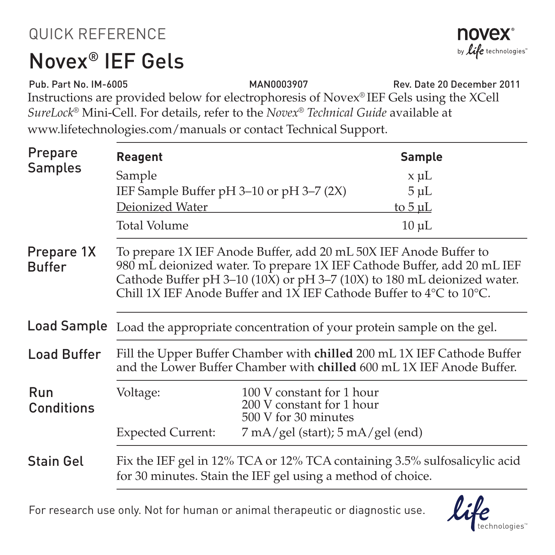## QUICK REFERENCE

## Novex® IEF Gels



Instructions are provided below for electrophoresis of Novex® IEF Gels using the XCell *SureLock*® Mini-Cell. For details, refer to the *Novex® Technical Guide* available at www.lifetechnologies.com/manuals or contact Technical Support. Pub. Part No. IM-6005 MAN0003907 Rev. Date 20 December 2011

| Prepare<br>Samples          | <b>Reagent</b>                                                                                                                                                                                                                                                                                                     |                                                                                | Sample       |
|-----------------------------|--------------------------------------------------------------------------------------------------------------------------------------------------------------------------------------------------------------------------------------------------------------------------------------------------------------------|--------------------------------------------------------------------------------|--------------|
|                             | Sample                                                                                                                                                                                                                                                                                                             |                                                                                | x µL         |
|                             | IEF Sample Buffer $pH$ 3–10 or $pH$ 3–7 (2X)                                                                                                                                                                                                                                                                       |                                                                                | $5 \mu L$    |
|                             | Deionized Water                                                                                                                                                                                                                                                                                                    |                                                                                | to $5 \mu L$ |
|                             | Total Volume                                                                                                                                                                                                                                                                                                       |                                                                                | $10 \mu L$   |
| Prepare 1X<br><b>Buffer</b> | To prepare 1X IEF Anode Buffer, add 20 mL 50X IEF Anode Buffer to<br>980 mL deionized water. To prepare 1X IEF Cathode Buffer, add 20 mL IEF<br>Cathode Buffer pH 3-10 (10X) or pH 3-7 (10X) to 180 mL deionized water.<br>Chill 1X IEF Anode Buffer and 1X IEF Cathode Buffer to $4^{\circ}$ C to $10^{\circ}$ C. |                                                                                |              |
| Load Sample                 | Load the appropriate concentration of your protein sample on the gel.                                                                                                                                                                                                                                              |                                                                                |              |
| <b>Load Buffer</b>          | Fill the Upper Buffer Chamber with chilled 200 mL 1X IEF Cathode Buffer<br>and the Lower Buffer Chamber with chilled 600 mL 1X IEF Anode Buffer.                                                                                                                                                                   |                                                                                |              |
| Run<br>Conditions           | Voltage:                                                                                                                                                                                                                                                                                                           | 100 V constant for 1 hour<br>200 V constant for 1 hour<br>500 V for 30 minutes |              |
|                             | <b>Expected Current:</b>                                                                                                                                                                                                                                                                                           | $7 \text{ mA/gel (start)}$ ; 5 mA/gel (end)                                    |              |
| <b>Stain Gel</b>            | Fix the IEF gel in 12% TCA or 12% TCA containing 3.5% sulfosalicylic acid<br>for 30 minutes. Stain the IEF gel using a method of choice.                                                                                                                                                                           |                                                                                |              |